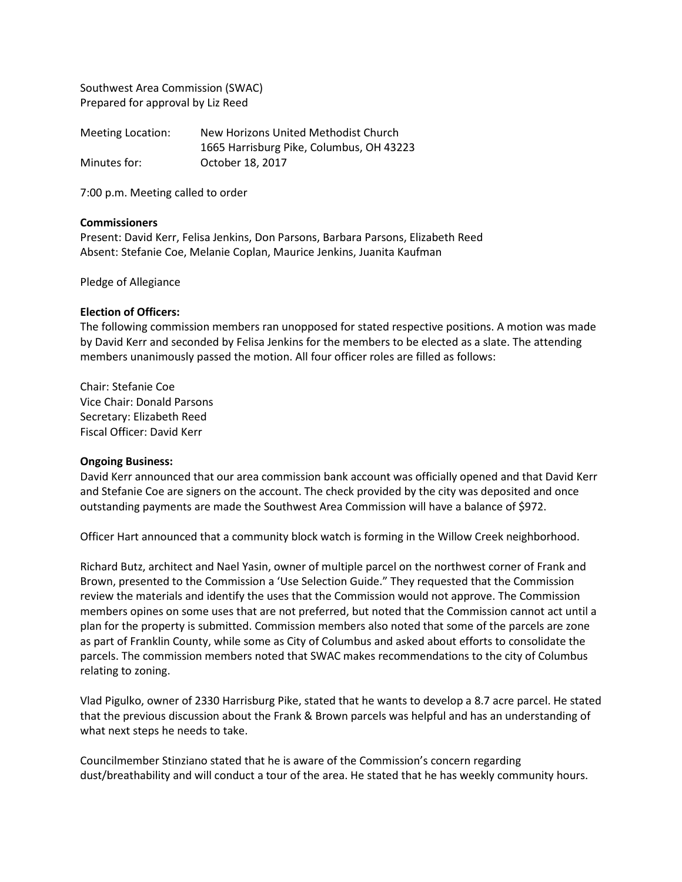Southwest Area Commission (SWAC) Prepared for approval by Liz Reed

| Meeting Location: | New Horizons United Methodist Church     |
|-------------------|------------------------------------------|
|                   | 1665 Harrisburg Pike, Columbus, OH 43223 |
| Minutes for:      | October 18, 2017                         |

7:00 p.m. Meeting called to order

## **Commissioners**

Present: David Kerr, Felisa Jenkins, Don Parsons, Barbara Parsons, Elizabeth Reed Absent: Stefanie Coe, Melanie Coplan, Maurice Jenkins, Juanita Kaufman

#### Pledge of Allegiance

## **Election of Officers:**

The following commission members ran unopposed for stated respective positions. A motion was made by David Kerr and seconded by Felisa Jenkins for the members to be elected as a slate. The attending members unanimously passed the motion. All four officer roles are filled as follows:

Chair: Stefanie Coe Vice Chair: Donald Parsons Secretary: Elizabeth Reed Fiscal Officer: David Kerr

#### **Ongoing Business:**

David Kerr announced that our area commission bank account was officially opened and that David Kerr and Stefanie Coe are signers on the account. The check provided by the city was deposited and once outstanding payments are made the Southwest Area Commission will have a balance of \$972.

Officer Hart announced that a community block watch is forming in the Willow Creek neighborhood.

Richard Butz, architect and Nael Yasin, owner of multiple parcel on the northwest corner of Frank and Brown, presented to the Commission a 'Use Selection Guide." They requested that the Commission review the materials and identify the uses that the Commission would not approve. The Commission members opines on some uses that are not preferred, but noted that the Commission cannot act until a plan for the property is submitted. Commission members also noted that some of the parcels are zone as part of Franklin County, while some as City of Columbus and asked about efforts to consolidate the parcels. The commission members noted that SWAC makes recommendations to the city of Columbus relating to zoning.

Vlad Pigulko, owner of 2330 Harrisburg Pike, stated that he wants to develop a 8.7 acre parcel. He stated that the previous discussion about the Frank & Brown parcels was helpful and has an understanding of what next steps he needs to take.

Councilmember Stinziano stated that he is aware of the Commission's concern regarding dust/breathability and will conduct a tour of the area. He stated that he has weekly community hours.